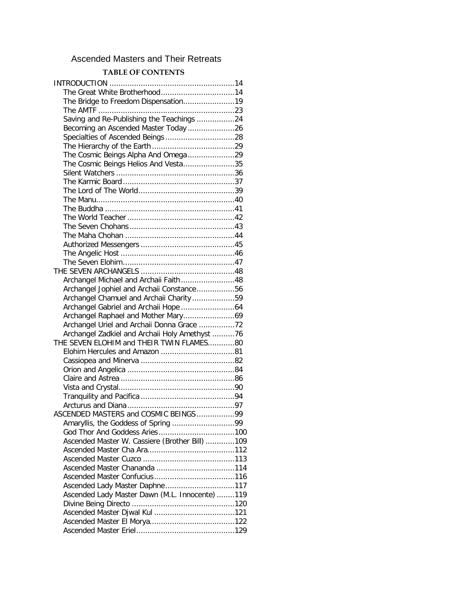## Ascended Masters and Their Retreats

## **TABLE OF CONTENTS**

| The Bridge to Freedom Dispensation19           |  |
|------------------------------------------------|--|
|                                                |  |
| Saving and Re-Publishing the Teachings 24      |  |
| Becoming an Ascended Master Today26            |  |
|                                                |  |
|                                                |  |
| The Cosmic Beings Alpha And Omega29            |  |
| The Cosmic Beings Helios And Vesta35           |  |
|                                                |  |
|                                                |  |
|                                                |  |
|                                                |  |
|                                                |  |
|                                                |  |
|                                                |  |
|                                                |  |
|                                                |  |
|                                                |  |
|                                                |  |
|                                                |  |
| Archangel Michael and Archaii Faith48          |  |
| Archangel Jophiel and Archaii Constance56      |  |
| Archangel Chamuel and Archaii Charity59        |  |
|                                                |  |
|                                                |  |
| Archangel Uriel and Archaii Donna Grace 72     |  |
| Archangel Zadkiel and Archaii Holy Amethyst 76 |  |
| THE SEVEN ELOHIM and THEIR TWIN FLAMES80       |  |
|                                                |  |
|                                                |  |
|                                                |  |
|                                                |  |
|                                                |  |
|                                                |  |
|                                                |  |
| ASCENDED MASTERS and COSMIC BEINGS99           |  |
| Amaryllis, the Goddess of Spring 99            |  |
|                                                |  |
| Ascended Master W. Cassiere (Brother Bill) 109 |  |
|                                                |  |
|                                                |  |
|                                                |  |
|                                                |  |
| Ascended Lady Master Daphne117                 |  |
| Ascended Lady Master Dawn (M.L. Innocente) 119 |  |
|                                                |  |
|                                                |  |
|                                                |  |
|                                                |  |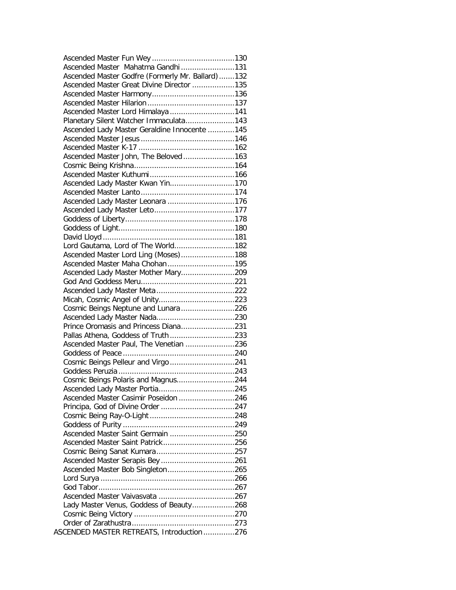| Ascended Master Mahatma Gandhi 131                |  |
|---------------------------------------------------|--|
| Ascended Master Godfre (Formerly Mr. Ballard) 132 |  |
| Ascended Master Great Divine Director 135         |  |
|                                                   |  |
|                                                   |  |
| Ascended Master Lord Himalaya 141                 |  |
| Planetary Silent Watcher Immaculata143            |  |
| Ascended Lady Master Geraldine Innocente  145     |  |
|                                                   |  |
|                                                   |  |
| Ascended Master John, The Beloved 163             |  |
|                                                   |  |
|                                                   |  |
|                                                   |  |
| Ascended Lady Master Kwan Yin170                  |  |
|                                                   |  |
| Ascended Lady Master Leonara 176                  |  |
|                                                   |  |
|                                                   |  |
|                                                   |  |
|                                                   |  |
| Lord Gautama, Lord of The World182                |  |
| Ascended Master Lord Ling (Moses)188              |  |
| Ascended Master Maha Chohan195                    |  |
| Ascended Lady Master Mother Mary209               |  |
|                                                   |  |
|                                                   |  |
|                                                   |  |
| Cosmic Beings Neptune and Lunara226               |  |
|                                                   |  |
| Prince Oromasis and Princess Diana231             |  |
| Pallas Athena, Goddess of Truth233                |  |
| Ascended Master Paul, The Venetian 236            |  |
|                                                   |  |
| Cosmic Beings Pelleur and Virgo241                |  |
|                                                   |  |
| Cosmic Beings Polaris and Magnus244               |  |
|                                                   |  |
| Ascended Master Casimir Poseidon 246              |  |
|                                                   |  |
|                                                   |  |
|                                                   |  |
| Ascended Master Saint Germain 250                 |  |
|                                                   |  |
|                                                   |  |
|                                                   |  |
|                                                   |  |
| Ascended Master Bob Singleton265                  |  |
|                                                   |  |
|                                                   |  |
|                                                   |  |
| Lady Master Venus, Goddess of Beauty268           |  |
|                                                   |  |
|                                                   |  |
| ASCENDED MASTER RETREATS, Introduction276         |  |